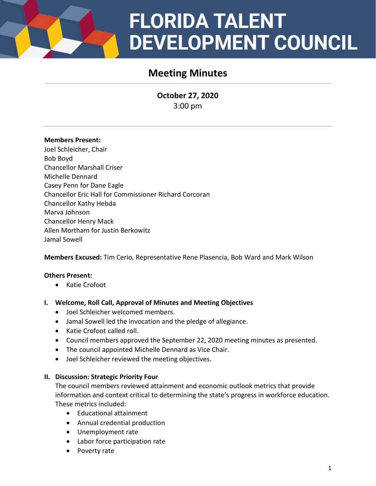## **FLORIDA TALENT DEVELOPMENT COUNCIL**

### **Meeting Minutes**

**October 27, 2020** 3:00 pm

#### **Members Present:**

Joel Schleicher, Chair Bob Boyd Chancellor Marshall Criser Michelle Dennard Casey Penn for Dane Eagle Chancellor Eric Hall for Commissioner Richard Corcoran Chancellor Kathy Hebda Marva Johnson Chancellor Henry Mack Allen Mortham for Justin Berkowitz Jamal Sowell

**Members Excused:** Tim Cerio, Representative Rene Plasencia, Bob Ward and Mark Wilson

#### **Others Present:**

• Katie Crofoot

#### **I. Welcome, Roll Call, Approval of Minutes and Meeting Objectives**

- Joel Schleicher welcomed members.
- Jamal Sowell led the invocation and the pledge of allegiance.
- Katie Crofoot called roll.
- Council members approved the September 22, 2020 meeting minutes as presented.
- The council appointed Michelle Dennard as Vice Chair.
- Joel Schleicher reviewed the meeting objectives.

#### **II. Discussion: Strategic Priority Four**

The council members reviewed attainment and economic outlook metrics that provide information and context critical to determining the state's progress in workforce education. These metrics included:

- Educational attainment
- Annual credential production
- Unemployment rate
- Labor force participation rate
- Poverty rate